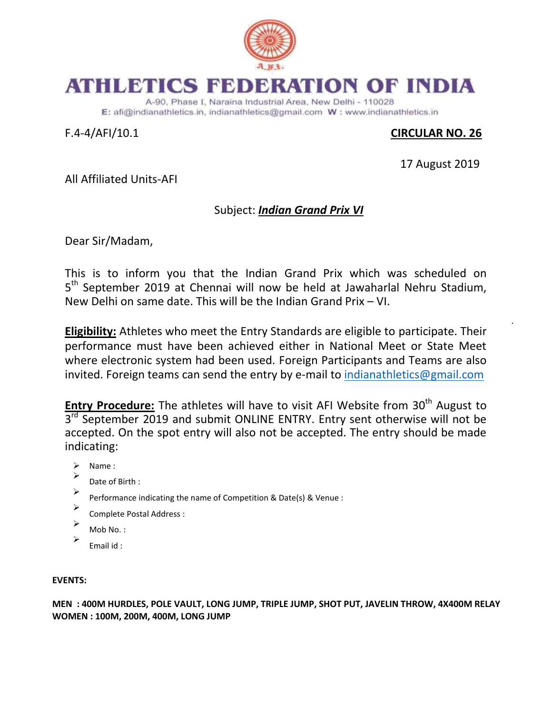

## ATHLETICS FEDERATION OF INDIA

A-90, Phase I, Naraina Industrial Area, New Delhi - 110028 E: afi@indianathletics.in. indianathletics@gmail.com W: www.indianathletics.in

## F.4-4/AFI/10.1 **CIRCULAR NO. 26**

17 August 2019

All Affiliated Units-AFI

## Subject: *Indian Grand Prix VI*

Dear Sir/Madam,

This is to inform you that the Indian Grand Prix which was scheduled on 5<sup>th</sup> September 2019 at Chennai will now be held at Jawaharlal Nehru Stadium, New Delhi on same date. This will be the Indian Grand Prix – VI.

**Eligibility:** Athletes who meet the Entry Standards are eligible to participate. Their performance must have been achieved either in National Meet or State Meet where electronic system had been used. Foreign Participants and Teams are also invited. Foreign teams can send the entry by e-mail to [indianathletics@gmail.com](mailto:indianathletics@gmail.com)

**Entry Procedure:** The athletes will have to visit AFI Website from 30<sup>th</sup> August to 3<sup>rd</sup> September 2019 and submit ONLINE ENTRY. Entry sent otherwise will not be accepted. On the spot entry will also not be accepted. The entry should be made indicating:

- $\triangleright$  Name :
- $\blacktriangleright$ Date of Birth :
- $\blacktriangleright$ Performance indicating the name of Competition & Date(s) & Venue :
- $\blacktriangleright$ Complete Postal Address :
- $\blacktriangleright$ Mob No. :
- $\blacktriangleright$ Email id :

## **EVENTS:**

**MEN : 400M HURDLES, POLE VAULT, LONG JUMP, TRIPLE JUMP, SHOT PUT, JAVELIN THROW, 4X400M RELAY WOMEN : 100M, 200M, 400M, LONG JUMP**